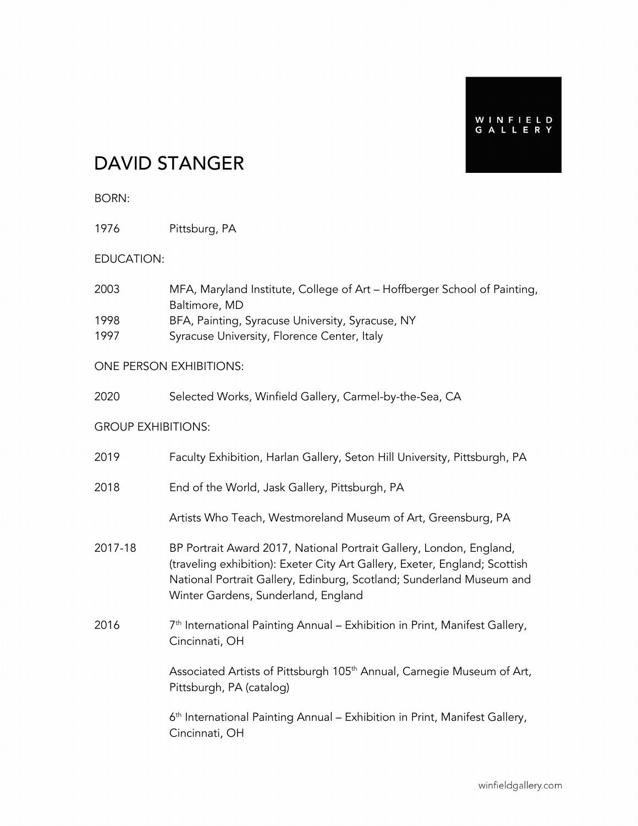# DAVID STANGER

### BORN:

1976 Pittsburg, PA

### EDUCATION:

| 2003 | MFA, Maryland Institute, College of Art – Hoffberger School of Painting, |
|------|--------------------------------------------------------------------------|
|      | Baltimore, MD                                                            |
| 1998 | BFA, Painting, Syracuse University, Syracuse, NY                         |
| 1997 | Syracuse University, Florence Center, Italy                              |

### ONE PERSON EXHIBITIONS:

| 2020 |  | Selected Works, Winfield Gallery, Carmel-by-the-Sea, CA |  |
|------|--|---------------------------------------------------------|--|
|      |  |                                                         |  |

#### GROUP EXHIBITIONS:

| 2019    | Faculty Exhibition, Harlan Gallery, Seton Hill University, Pittsburgh, PA                                                                                                                                                                                        |
|---------|------------------------------------------------------------------------------------------------------------------------------------------------------------------------------------------------------------------------------------------------------------------|
| 2018    | End of the World, Jask Gallery, Pittsburgh, PA                                                                                                                                                                                                                   |
|         | Artists Who Teach, Westmoreland Museum of Art, Greensburg, PA                                                                                                                                                                                                    |
| 2017-18 | BP Portrait Award 2017, National Portrait Gallery, London, England,<br>(traveling exhibition): Exeter City Art Gallery, Exeter, England; Scottish<br>National Portrait Gallery, Edinburg, Scotland; Sunderland Museum and<br>Winter Gardens, Sunderland, England |
| 2016    | 7 <sup>th</sup> International Painting Annual – Exhibition in Print, Manifest Gallery,<br>Cincinnati, OH                                                                                                                                                         |
|         | Associated Artists of Pittsburgh 105 <sup>th</sup> Annual, Carnegie Museum of Art,<br>Pittsburgh, PA (catalog)                                                                                                                                                   |
|         | $6th$ International Painting Annual – Exhibition in Print, Manifest Gallery,<br>Cincinnati, OH                                                                                                                                                                   |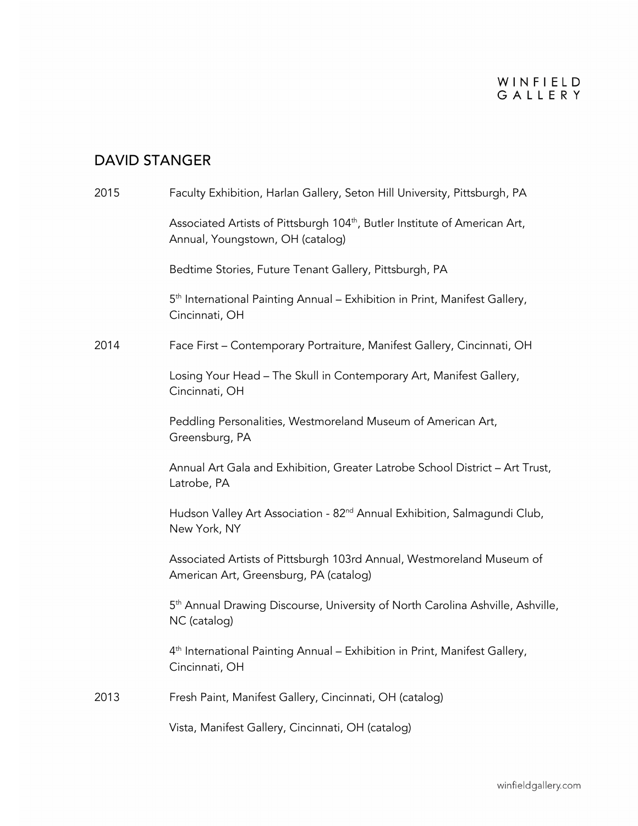# DAVID STANGER

| 2015 | Faculty Exhibition, Harlan Gallery, Seton Hill University, Pittsburgh, PA                                                  |
|------|----------------------------------------------------------------------------------------------------------------------------|
|      | Associated Artists of Pittsburgh 104 <sup>th</sup> , Butler Institute of American Art,<br>Annual, Youngstown, OH (catalog) |
|      | Bedtime Stories, Future Tenant Gallery, Pittsburgh, PA                                                                     |
|      | 5 <sup>th</sup> International Painting Annual – Exhibition in Print, Manifest Gallery,<br>Cincinnati, OH                   |
| 2014 | Face First - Contemporary Portraiture, Manifest Gallery, Cincinnati, OH                                                    |
|      | Losing Your Head - The Skull in Contemporary Art, Manifest Gallery,<br>Cincinnati, OH                                      |
|      | Peddling Personalities, Westmoreland Museum of American Art,<br>Greensburg, PA                                             |
|      | Annual Art Gala and Exhibition, Greater Latrobe School District - Art Trust,<br>Latrobe, PA                                |
|      | Hudson Valley Art Association - 82 <sup>nd</sup> Annual Exhibition, Salmagundi Club,<br>New York, NY                       |
|      | Associated Artists of Pittsburgh 103rd Annual, Westmoreland Museum of<br>American Art, Greensburg, PA (catalog)            |
|      | 5 <sup>th</sup> Annual Drawing Discourse, University of North Carolina Ashville, Ashville,<br>NC (catalog)                 |
|      | 4 <sup>th</sup> International Painting Annual – Exhibition in Print, Manifest Gallery,<br>Cincinnati, OH                   |
| 2013 | Fresh Paint, Manifest Gallery, Cincinnati, OH (catalog)                                                                    |
|      | Vista, Manifest Gallery, Cincinnati, OH (catalog)                                                                          |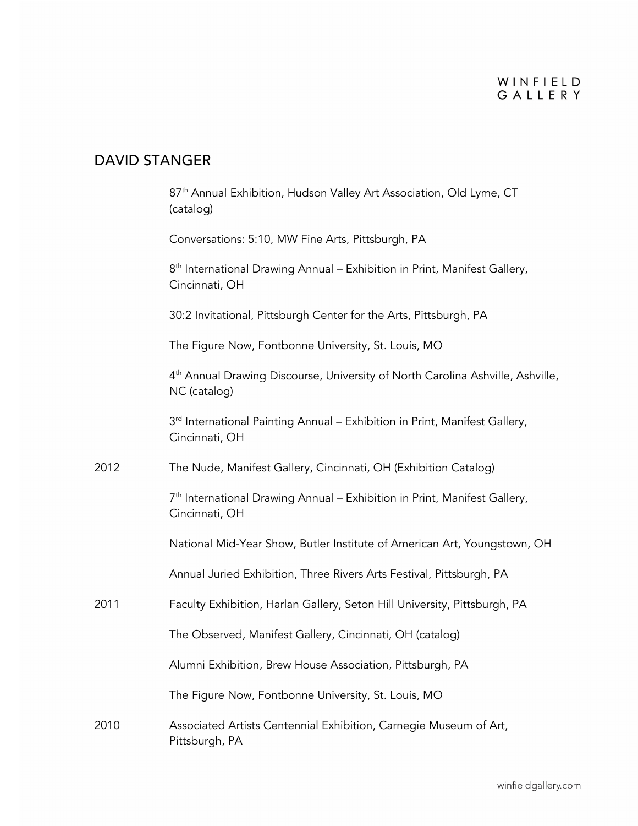# DAVID STANGER

|      | 87 <sup>th</sup> Annual Exhibition, Hudson Valley Art Association, Old Lyme, CT<br>(catalog)               |
|------|------------------------------------------------------------------------------------------------------------|
|      | Conversations: 5:10, MW Fine Arts, Pittsburgh, PA                                                          |
|      | 8 <sup>th</sup> International Drawing Annual – Exhibition in Print, Manifest Gallery,<br>Cincinnati, OH    |
|      | 30:2 Invitational, Pittsburgh Center for the Arts, Pittsburgh, PA                                          |
|      | The Figure Now, Fontbonne University, St. Louis, MO                                                        |
|      | 4 <sup>th</sup> Annual Drawing Discourse, University of North Carolina Ashville, Ashville,<br>NC (catalog) |
|      | 3 <sup>rd</sup> International Painting Annual – Exhibition in Print, Manifest Gallery,<br>Cincinnati, OH   |
| 2012 | The Nude, Manifest Gallery, Cincinnati, OH (Exhibition Catalog)                                            |
|      | 7 <sup>th</sup> International Drawing Annual - Exhibition in Print, Manifest Gallery,<br>Cincinnati, OH    |
|      | National Mid-Year Show, Butler Institute of American Art, Youngstown, OH                                   |
|      | Annual Juried Exhibition, Three Rivers Arts Festival, Pittsburgh, PA                                       |
| 2011 | Faculty Exhibition, Harlan Gallery, Seton Hill University, Pittsburgh, PA                                  |
|      | The Observed, Manifest Gallery, Cincinnati, OH (catalog)                                                   |
|      | Alumni Exhibition, Brew House Association, Pittsburgh, PA                                                  |
|      | The Figure Now, Fontbonne University, St. Louis, MO                                                        |
| 2010 | Associated Artists Centennial Exhibition, Carnegie Museum of Art,<br>Pittsburgh, PA                        |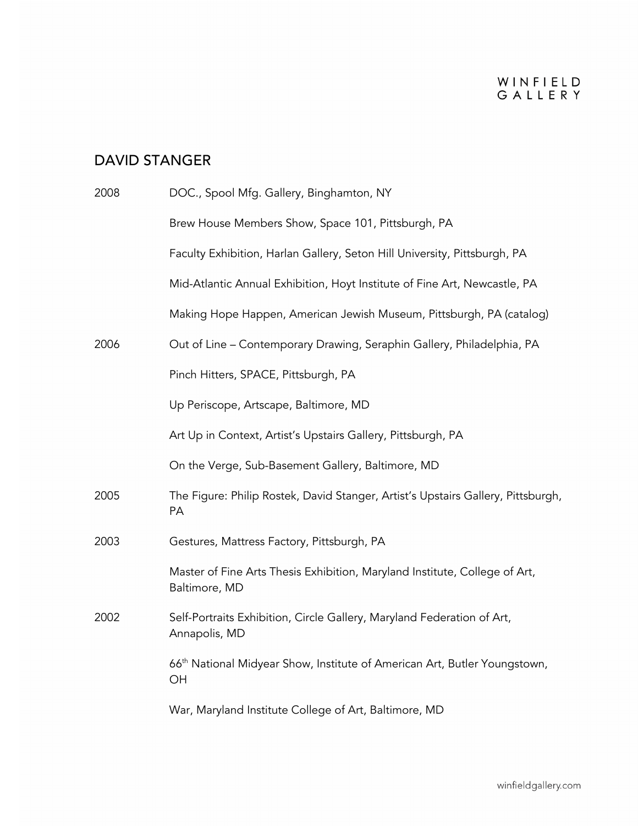# DAVID STANGER

| 2008 | DOC., Spool Mfg. Gallery, Binghamton, NY                                                    |
|------|---------------------------------------------------------------------------------------------|
|      | Brew House Members Show, Space 101, Pittsburgh, PA                                          |
|      | Faculty Exhibition, Harlan Gallery, Seton Hill University, Pittsburgh, PA                   |
|      | Mid-Atlantic Annual Exhibition, Hoyt Institute of Fine Art, Newcastle, PA                   |
|      | Making Hope Happen, American Jewish Museum, Pittsburgh, PA (catalog)                        |
| 2006 | Out of Line - Contemporary Drawing, Seraphin Gallery, Philadelphia, PA                      |
|      | Pinch Hitters, SPACE, Pittsburgh, PA                                                        |
|      | Up Periscope, Artscape, Baltimore, MD                                                       |
|      | Art Up in Context, Artist's Upstairs Gallery, Pittsburgh, PA                                |
|      | On the Verge, Sub-Basement Gallery, Baltimore, MD                                           |
| 2005 | The Figure: Philip Rostek, David Stanger, Artist's Upstairs Gallery, Pittsburgh,<br>PA      |
| 2003 | Gestures, Mattress Factory, Pittsburgh, PA                                                  |
|      | Master of Fine Arts Thesis Exhibition, Maryland Institute, College of Art,<br>Baltimore, MD |
| 2002 | Self-Portraits Exhibition, Circle Gallery, Maryland Federation of Art,<br>Annapolis, MD     |
|      | 66 <sup>th</sup> National Midyear Show, Institute of American Art, Butler Youngstown,<br>OH |
|      | War, Maryland Institute College of Art, Baltimore, MD                                       |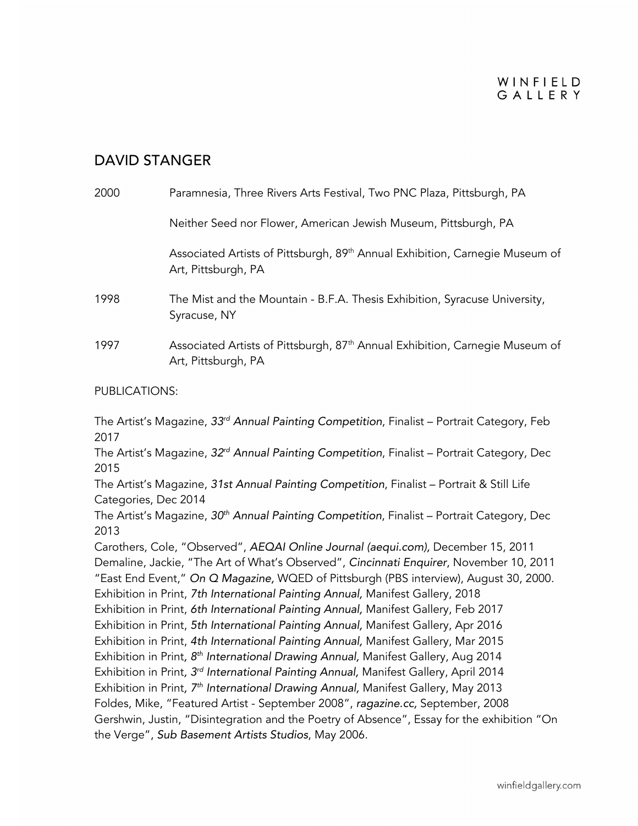### WINFIELD GALLERY

### DAVID STANGER

| 2000 | Paramnesia, Three Rivers Arts Festival, Two PNC Plaza, Pittsburgh, PA                                           |
|------|-----------------------------------------------------------------------------------------------------------------|
|      | Neither Seed nor Flower, American Jewish Museum, Pittsburgh, PA                                                 |
|      | Associated Artists of Pittsburgh, 89th Annual Exhibition, Carnegie Museum of<br>Art, Pittsburgh, PA             |
| 1998 | The Mist and the Mountain - B.F.A. Thesis Exhibition, Syracuse University,<br>Syracuse, NY                      |
| 1997 | Associated Artists of Pittsburgh, 87 <sup>th</sup> Annual Exhibition, Carnegie Museum of<br>Art, Pittsburgh, PA |

#### PUBLICATIONS:

The Artist's Magazine, *33rd Annual Painting Competition*, Finalist – Portrait Category, Feb 2017

The Artist's Magazine, *32rd Annual Painting Competition*, Finalist – Portrait Category, Dec 2015

The Artist's Magazine, *31st Annual Painting Competition*, Finalist – Portrait & Still Life Categories, Dec 2014

The Artist's Magazine, *30th Annual Painting Competition*, Finalist – Portrait Category, Dec 2013

Carothers, Cole, "Observed", *AEQAI Online Journal (aequi.com),* December 15, 2011 Demaline, Jackie, "The Art of What's Observed", *Cincinnati Enquirer*, November 10, 2011 "East End Event," *On Q Magazine,* WQED of Pittsburgh (PBS interview), August 30, 2000. Exhibition in Print, *7th International Painting Annual,* Manifest Gallery, 2018

Exhibition in Print, *6th International Painting Annual,* Manifest Gallery, Feb 2017

Exhibition in Print, *5th International Painting Annual,* Manifest Gallery, Apr 2016

Exhibition in Print, *4th International Painting Annual,* Manifest Gallery, Mar 2015

Exhibition in Print*, 8th International Drawing Annual,* Manifest Gallery, Aug 2014

Exhibition in Print*, 3rd International Painting Annual,* Manifest Gallery, April 2014

Exhibition in Print*, 7th International Drawing Annual,* Manifest Gallery, May 2013

Foldes, Mike, "Featured Artist - September 2008", *ragazine.cc,* September, 2008

Gershwin, Justin, "Disintegration and the Poetry of Absence", Essay for the exhibition "On the Verge", *Sub Basement Artists Studios*, May 2006.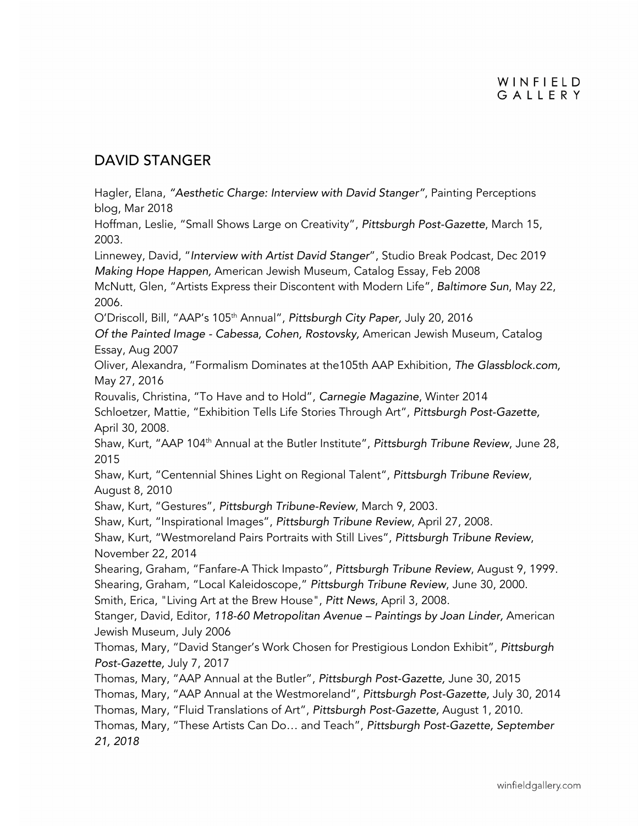### DAVID STANGER

Hagler, Elana, *"Aesthetic Charge: Interview with David Stanger"*, Painting Perceptions blog, Mar 2018

Hoffman, Leslie, "Small Shows Large on Creativity", *Pittsburgh Post-Gazette*, March 15, 2003.

Linnewey, David, "*Interview with Artist David Stanger*", Studio Break Podcast, Dec 2019 *Making Hope Happen,* American Jewish Museum, Catalog Essay, Feb 2008

McNutt, Glen, "Artists Express their Discontent with Modern Life", *Baltimore Sun*, May 22, 2006.

O'Driscoll, Bill, "AAP's 105th Annual", *Pittsburgh City Paper,* July 20, 2016

*Of the Painted Image - Cabessa, Cohen, Rostovsky,* American Jewish Museum, Catalog Essay, Aug 2007

Oliver, Alexandra, "Formalism Dominates at the105th AAP Exhibition, *The Glassblock.com,*  May 27, 2016

Rouvalis, Christina, "To Have and to Hold", *Carnegie Magazine*, Winter 2014

Schloetzer, Mattie, "Exhibition Tells Life Stories Through Art", *Pittsburgh Post-Gazette,*  April 30, 2008.

Shaw, Kurt, "AAP 104<sup>th</sup> Annual at the Butler Institute", *Pittsburgh Tribune Review*, June 28, 2015

Shaw, Kurt, "Centennial Shines Light on Regional Talent", *Pittsburgh Tribune Review*, August 8, 2010

Shaw, Kurt, "Gestures", *Pittsburgh Tribune-Review*, March 9, 2003.

Shaw, Kurt, "Inspirational Images", *Pittsburgh Tribune Review*, April 27, 2008.

Shaw, Kurt, "Westmoreland Pairs Portraits with Still Lives", *Pittsburgh Tribune Review*, November 22, 2014

Shearing, Graham, "Fanfare-A Thick Impasto", *Pittsburgh Tribune Review*, August 9, 1999. Shearing, Graham, "Local Kaleidoscope," *Pittsburgh Tribune Review*, June 30, 2000.

Smith, Erica, "Living Art at the Brew House", *Pitt News*, April 3, 2008.

Stanger, David, Editor, *118-60 Metropolitan Avenue – Paintings by Joan Linder,* American Jewish Museum, July 2006

Thomas, Mary, "David Stanger's Work Chosen for Prestigious London Exhibit", *Pittsburgh Post-Gazette,* July 7, 2017

Thomas, Mary, "AAP Annual at the Butler", *Pittsburgh Post-Gazette,* June 30, 2015 Thomas, Mary, "AAP Annual at the Westmoreland", *Pittsburgh Post-Gazette,* July 30, 2014 Thomas, Mary, "Fluid Translations of Art", *Pittsburgh Post-Gazette,* August 1, 2010. Thomas, Mary, "These Artists Can Do… and Teach", *Pittsburgh Post-Gazette, September 21, 2018*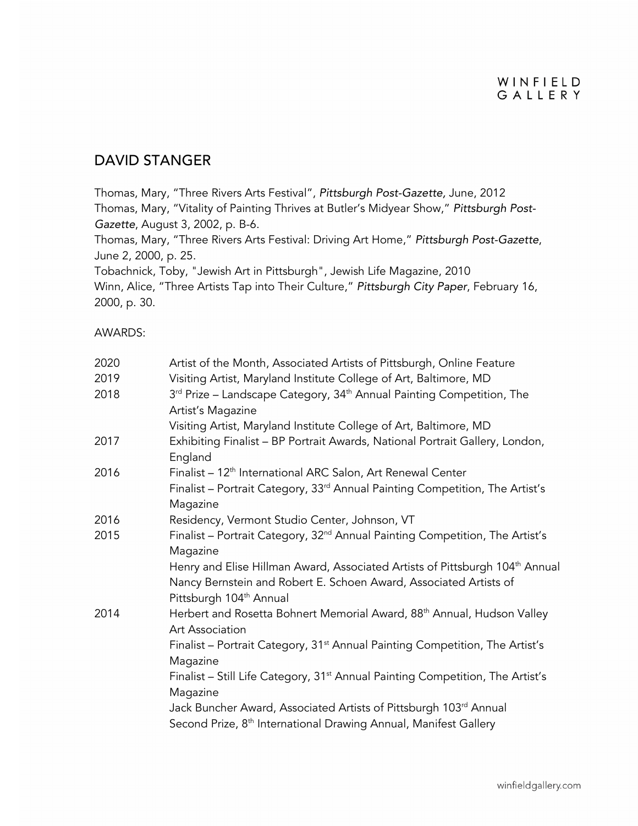### DAVID STANGER

Thomas, Mary, "Three Rivers Arts Festival", *Pittsburgh Post-Gazette,* June, 2012 Thomas, Mary, "Vitality of Painting Thrives at Butler's Midyear Show," *Pittsburgh Post-Gazette*, August 3, 2002, p. B-6. Thomas, Mary, "Three Rivers Arts Festival: Driving Art Home," *Pittsburgh Post-Gazette*,

June 2, 2000, p. 25.

Tobachnick, Toby, "Jewish Art in Pittsburgh", Jewish Life Magazine, 2010 Winn, Alice, "Three Artists Tap into Their Culture," *Pittsburgh City Paper*, February 16, 2000, p. 30.

#### AWARDS:

| 2020 | Artist of the Month, Associated Artists of Pittsburgh, Online Feature                                                                                                                                |
|------|------------------------------------------------------------------------------------------------------------------------------------------------------------------------------------------------------|
| 2019 | Visiting Artist, Maryland Institute College of Art, Baltimore, MD                                                                                                                                    |
| 2018 | 3 <sup>rd</sup> Prize - Landscape Category, 34 <sup>th</sup> Annual Painting Competition, The                                                                                                        |
|      | Artist's Magazine                                                                                                                                                                                    |
|      | Visiting Artist, Maryland Institute College of Art, Baltimore, MD                                                                                                                                    |
| 2017 | Exhibiting Finalist - BP Portrait Awards, National Portrait Gallery, London,<br>England                                                                                                              |
| 2016 | Finalist - 12 <sup>th</sup> International ARC Salon, Art Renewal Center                                                                                                                              |
|      | Finalist - Portrait Category, 33 <sup>rd</sup> Annual Painting Competition, The Artist's<br>Magazine                                                                                                 |
| 2016 | Residency, Vermont Studio Center, Johnson, VT                                                                                                                                                        |
| 2015 | Finalist - Portrait Category, 32 <sup>nd</sup> Annual Painting Competition, The Artist's<br>Magazine                                                                                                 |
|      | Henry and Elise Hillman Award, Associated Artists of Pittsburgh 104 <sup>th</sup> Annual<br>Nancy Bernstein and Robert E. Schoen Award, Associated Artists of<br>Pittsburgh 104 <sup>th</sup> Annual |
| 2014 | Herbert and Rosetta Bohnert Memorial Award, 88 <sup>th</sup> Annual, Hudson Valley<br>Art Association                                                                                                |
|      | Finalist - Portrait Category, 31 <sup>st</sup> Annual Painting Competition, The Artist's<br>Magazine                                                                                                 |
|      | Finalist - Still Life Category, 31 <sup>st</sup> Annual Painting Competition, The Artist's<br>Magazine                                                                                               |
|      | Jack Buncher Award, Associated Artists of Pittsburgh 103rd Annual<br>Second Prize, 8 <sup>th</sup> International Drawing Annual, Manifest Gallery                                                    |
|      |                                                                                                                                                                                                      |